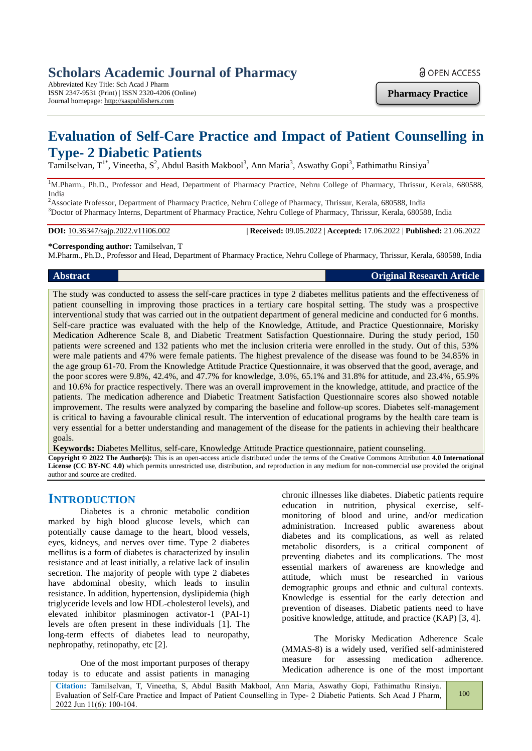# **Scholars Academic Journal of Pharmacy**

Abbreviated Key Title: Sch Acad J Pharm ISSN 2347-9531 (Print) | ISSN 2320-4206 (Online) Journal homepage: http://saspublishers.com

**Pharmacy Practice**

# **Evaluation of Self-Care Practice and Impact of Patient Counselling in Type- 2 Diabetic Patients**

Tamilselvan, T<sup>1\*</sup>, Vineetha, S<sup>2</sup>, Abdul Basith Makbool<sup>3</sup>, Ann Maria<sup>3</sup>, Aswathy Gopi<sup>3</sup>, Fathimathu Rinsiya<sup>3</sup>

<sup>1</sup>M.Pharm., Ph.D., Professor and Head, Department of Pharmacy Practice, Nehru College of Pharmacy, Thrissur, Kerala, 680588, India

<sup>2</sup>Associate Professor, Department of Pharmacy Practice, Nehru College of Pharmacy, Thrissur, Kerala, 680588, India <sup>3</sup>Doctor of Pharmacy Interns, Department of Pharmacy Practice, Nehru College of Pharmacy, Thrissur, Kerala, 680588, India

**DOI:** 10.36347/sajp.2022.v11i06.002 | **Received:** 09.05.2022 | **Accepted:** 17.06.2022 | **Published:** 21.06.2022

# **\*Corresponding author:** Tamilselvan, T

M.Pharm., Ph.D., Professor and Head, Department of Pharmacy Practice, Nehru College of Pharmacy, Thrissur, Kerala, 680588, India

# **Abstract Original Research Article**

The study was conducted to assess the self-care practices in type 2 diabetes mellitus patients and the effectiveness of patient counselling in improving those practices in a tertiary care hospital setting. The study was a prospective interventional study that was carried out in the outpatient department of general medicine and conducted for 6 months. Self-care practice was evaluated with the help of the Knowledge, Attitude, and Practice Questionnaire, Morisky Medication Adherence Scale 8, and Diabetic Treatment Satisfaction Questionnaire. During the study period, 150 patients were screened and 132 patients who met the inclusion criteria were enrolled in the study. Out of this, 53% were male patients and 47% were female patients. The highest prevalence of the disease was found to be 34.85% in the age group 61-70. From the Knowledge Attitude Practice Questionnaire, it was observed that the good, average, and the poor scores were 9.8%, 42.4%, and 47.7% for knowledge, 3.0%, 65.1% and 31.8% for attitude, and 23.4%, 65.9% and 10.6% for practice respectively. There was an overall improvement in the knowledge, attitude, and practice of the patients. The medication adherence and Diabetic Treatment Satisfaction Questionnaire scores also showed notable improvement. The results were analyzed by comparing the baseline and follow-up scores. Diabetes self-management is critical to having a favourable clinical result. The intervention of educational programs by the health care team is very essential for a better understanding and management of the disease for the patients in achieving their healthcare goals.

**Keywords:** Diabetes Mellitus, self-care, Knowledge Attitude Practice questionnaire, patient counseling. **Copyright © 2022 The Author(s):** This is an open-access article distributed under the terms of the Creative Commons Attribution **4.0 International License (CC BY-NC 4.0)** which permits unrestricted use, distribution, and reproduction in any medium for non-commercial use provided the original

author and source are credited.

# **INTRODUCTION**

Diabetes is a chronic metabolic condition marked by high blood glucose levels, which can potentially cause damage to the heart, blood vessels, eyes, kidneys, and nerves over time. Type 2 diabetes mellitus is a form of diabetes is characterized by insulin resistance and at least initially, a relative lack of insulin secretion. The majority of people with type 2 diabetes have abdominal obesity, which leads to insulin resistance. In addition, hypertension, dyslipidemia (high triglyceride levels and low HDL-cholesterol levels), and elevated inhibitor plasminogen activator-1 (PAI-1) levels are often present in these individuals [1]. The long-term effects of diabetes lead to neuropathy, nephropathy, retinopathy, etc [2].

One of the most important purposes of therapy today is to educate and assist patients in managing chronic illnesses like diabetes. Diabetic patients require education in nutrition, physical exercise, selfmonitoring of blood and urine, and/or medication administration. Increased public awareness about diabetes and its complications, as well as related metabolic disorders, is a critical component of preventing diabetes and its complications. The most essential markers of awareness are knowledge and attitude, which must be researched in various demographic groups and ethnic and cultural contexts. Knowledge is essential for the early detection and prevention of diseases. Diabetic patients need to have positive knowledge, attitude, and practice (KAP) [3, 4].

The Morisky Medication Adherence Scale (MMAS-8) is a widely used, verified self-administered measure for assessing medication adherence. Medication adherence is one of the most important

**Citation:** Tamilselvan, T, Vineetha, S, Abdul Basith Makbool, Ann Maria, Aswathy Gopi, Fathimathu Rinsiya. Evaluation of Self-Care Practice and Impact of Patient Counselling in Type- 2 Diabetic Patients. Sch Acad J Pharm, 2022 Jun 11(6): 100-104.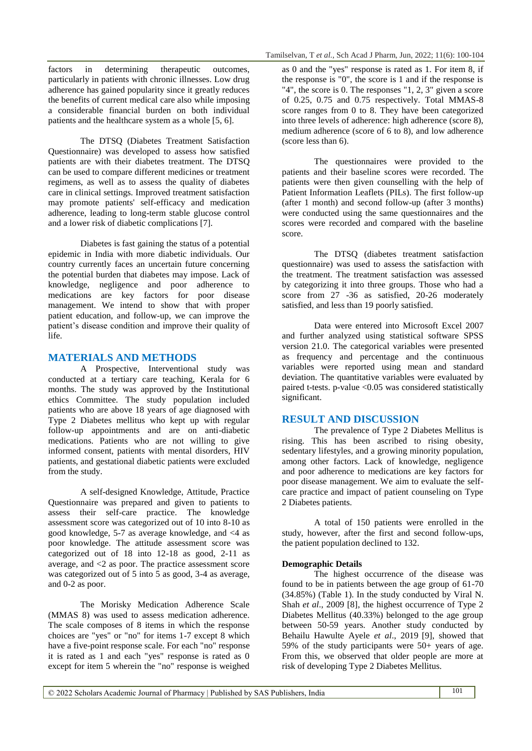factors in determining therapeutic outcomes, particularly in patients with chronic illnesses. Low drug adherence has gained popularity since it greatly reduces the benefits of current medical care also while imposing a considerable financial burden on both individual patients and the healthcare system as a whole [5, 6].

The DTSQ (Diabetes Treatment Satisfaction Questionnaire) was developed to assess how satisfied patients are with their diabetes treatment. The DTSQ can be used to compare different medicines or treatment regimens, as well as to assess the quality of diabetes care in clinical settings. Improved treatment satisfaction may promote patients' self-efficacy and medication adherence, leading to long-term stable glucose control and a lower risk of diabetic complications [7].

Diabetes is fast gaining the status of a potential epidemic in India with more diabetic individuals. Our country currently faces an uncertain future concerning the potential burden that diabetes may impose. Lack of knowledge, negligence and poor adherence to medications are key factors for poor disease management. We intend to show that with proper patient education, and follow-up, we can improve the patient's disease condition and improve their quality of life.

# **MATERIALS AND METHODS**

A Prospective, Interventional study was conducted at a tertiary care teaching, Kerala for 6 months. The study was approved by the Institutional ethics Committee. The study population included patients who are above 18 years of age diagnosed with Type 2 Diabetes mellitus who kept up with regular follow-up appointments and are on anti-diabetic medications. Patients who are not willing to give informed consent, patients with mental disorders, HIV patients, and gestational diabetic patients were excluded from the study.

A self-designed Knowledge, Attitude, Practice Questionnaire was prepared and given to patients to assess their self-care practice. The knowledge assessment score was categorized out of 10 into 8-10 as good knowledge, 5-7 as average knowledge, and <4 as poor knowledge. The attitude assessment score was categorized out of 18 into 12-18 as good, 2-11 as average, and <2 as poor. The practice assessment score was categorized out of 5 into 5 as good, 3-4 as average, and 0-2 as poor.

The Morisky Medication Adherence Scale (MMAS 8) was used to assess medication adherence. The scale composes of 8 items in which the response choices are "yes" or "no" for items 1-7 except 8 which have a five-point response scale. For each "no" response it is rated as 1 and each "yes" response is rated as 0 except for item 5 wherein the "no" response is weighed

as 0 and the "yes" response is rated as 1. For item 8, if the response is "0", the score is 1 and if the response is "4", the score is 0. The responses "1, 2, 3" given a score of 0.25, 0.75 and 0.75 respectively. Total MMAS-8 score ranges from 0 to 8. They have been categorized into three levels of adherence: high adherence (score 8), medium adherence (score of 6 to 8), and low adherence (score less than 6).

The questionnaires were provided to the patients and their baseline scores were recorded. The patients were then given counselling with the help of Patient Information Leaflets (PILs). The first follow-up (after 1 month) and second follow-up (after 3 months) were conducted using the same questionnaires and the scores were recorded and compared with the baseline score.

The DTSQ (diabetes treatment satisfaction questionnaire) was used to assess the satisfaction with the treatment. The treatment satisfaction was assessed by categorizing it into three groups. Those who had a score from 27 -36 as satisfied, 20-26 moderately satisfied, and less than 19 poorly satisfied.

Data were entered into Microsoft Excel 2007 and further analyzed using statistical software SPSS version 21.0. The categorical variables were presented as frequency and percentage and the continuous variables were reported using mean and standard deviation. The quantitative variables were evaluated by paired t-tests. p-value <0.05 was considered statistically significant.

# **RESULT AND DISCUSSION**

The prevalence of Type 2 Diabetes Mellitus is rising. This has been ascribed to rising obesity, sedentary lifestyles, and a growing minority population, among other factors. Lack of knowledge, negligence and poor adherence to medications are key factors for poor disease management. We aim to evaluate the selfcare practice and impact of patient counseling on Type 2 Diabetes patients.

A total of 150 patients were enrolled in the study, however, after the first and second follow-ups, the patient population declined to 132.

# **Demographic Details**

The highest occurrence of the disease was found to be in patients between the age group of 61-70 (34.85%) (Table 1). In the study conducted by Viral N. Shah *et al.*, 2009 [8], the highest occurrence of Type 2 Diabetes Mellitus (40.33%) belonged to the age group between 50-59 years. Another study conducted by Behailu Hawulte Ayele *et al*., 2019 [9], showed that 59% of the study participants were  $50+$  years of age. From this, we observed that older people are more at risk of developing Type 2 Diabetes Mellitus.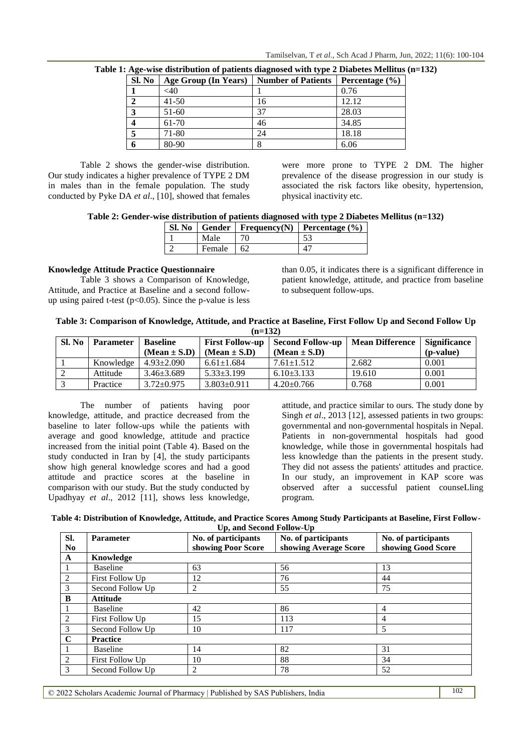| Sl. No | Age Group (In Years) | <b>Number of Patients</b> | Percentage $(\% )$ |
|--------|----------------------|---------------------------|--------------------|
|        | $<$ 40               |                           | 0.76               |
|        | $41 - 50$            | 16                        | 12.12              |
|        | 51-60                | 37                        | 28.03              |
|        | 61-70                | 46                        | 34.85              |
|        | 71-80                | 24                        | 18.18              |
|        | 80-90                | Ω                         | 6.06               |

**Table 1: Age-wise distribution of patients diagnosed with type 2 Diabetes Mellitus (n=132)**

Table 2 shows the gender-wise distribution. Our study indicates a higher prevalence of TYPE 2 DM in males than in the female population. The study conducted by Pyke DA *et al*., [10], showed that females were more prone to TYPE 2 DM. The higher prevalence of the disease progression in our study is associated the risk factors like obesity, hypertension, physical inactivity etc.

**Table 2: Gender-wise distribution of patients diagnosed with type 2 Diabetes Mellitus (n=132)**

|  |        |    | Sl. No   Gender   Frequency(N)   Percentage $(\% )$ |  |
|--|--------|----|-----------------------------------------------------|--|
|  | Male   | 70 |                                                     |  |
|  | Female |    |                                                     |  |

## **Knowledge Attitude Practice Questionnaire**

Table 3 shows a Comparison of Knowledge, Attitude, and Practice at Baseline and a second followup using paired t-test  $(p<0.05)$ . Since the p-value is less than 0.05, it indicates there is a significant difference in patient knowledge, attitude, and practice from baseline to subsequent follow-ups.

|           | Table 3: Comparison of Knowledge, Attitude, and Practice at Baseline, First Follow Up and Second Follow Up |  |
|-----------|------------------------------------------------------------------------------------------------------------|--|
| $(n=132)$ |                                                                                                            |  |

| Sl. No | <b>Parameter</b> | <b>Baseline</b>  | <b>First Follow-up</b> | <b>Second Follow-up</b> | <b>Mean Difference</b> | <b>Significance</b> |
|--------|------------------|------------------|------------------------|-------------------------|------------------------|---------------------|
|        |                  | $(Mean \pm S.D)$ | $(Mean \pm S.D)$       | $(Mean \pm S.D)$        |                        | ( <i>p</i> -value)  |
|        | Knowledge        | $4.93 \pm 2.090$ | $6.61 \pm 1.684$       | $7.61 \pm 1.512$        | 2.682                  | 0.001               |
|        | Attitude         | $3.46 + 3.689$   | $5.33 \pm 3.199$       | $6.10\pm3.133$          | 19.610                 | 0.001               |
|        | Practice         | $3.72 \pm 0.975$ | $3.803 \pm 0.911$      | $4.20 \pm 0.766$        | 0.768                  | 0.001               |

The number of patients having poor knowledge, attitude, and practice decreased from the baseline to later follow-ups while the patients with average and good knowledge, attitude and practice increased from the initial point (Table 4). Based on the study conducted in Iran by [4], the study participants show high general knowledge scores and had a good attitude and practice scores at the baseline in comparison with our study. But the study conducted by Upadhyay *et al*., 2012 [11], shows less knowledge, attitude, and practice similar to ours. The study done by Singh *et al.*, 2013 [12], assessed patients in two groups: governmental and non-governmental hospitals in Nepal. Patients in non-governmental hospitals had good knowledge, while those in governmental hospitals had less knowledge than the patients in the present study. They did not assess the patients' attitudes and practice. In our study, an improvement in KAP score was observed after a successful patient counseLling program.

| Table 4: Distribution of Knowledge, Attitude, and Practice Scores Among Study Participants at Baseline, First Follow- |
|-----------------------------------------------------------------------------------------------------------------------|
| Up, and Second Follow-Up                                                                                              |

| SI.            | <b>Parameter</b> | No. of participants | No. of participants   | No. of participants |
|----------------|------------------|---------------------|-----------------------|---------------------|
| N <sub>0</sub> |                  | showing Poor Score  | showing Average Score | showing Good Score  |
| $\mathbf A$    | Knowledge        |                     |                       |                     |
| 1              | <b>Baseline</b>  | 63                  | 56                    | 13                  |
| $\overline{2}$ | First Follow Up  | 12                  | 76                    | 44                  |
| 3              | Second Follow Up | $\overline{2}$      | 55                    | 75                  |
| B              | <b>Attitude</b>  |                     |                       |                     |
|                | <b>Baseline</b>  | 42                  | 86                    | 4                   |
| $\overline{2}$ | First Follow Up  | 15                  | 113                   | 4                   |
| 3              | Second Follow Up | 10                  | 117                   | 5                   |
| $\mathbf C$    | <b>Practice</b>  |                     |                       |                     |
| 1              | <b>Baseline</b>  | 14                  | 82                    | 31                  |
| $\overline{2}$ | First Follow Up  | 10                  | 88                    | 34                  |
| 3              | Second Follow Up | 2                   | 78                    | 52                  |

© 2022 Scholars Academic Journal of Pharmacy | Published by SAS Publishers, India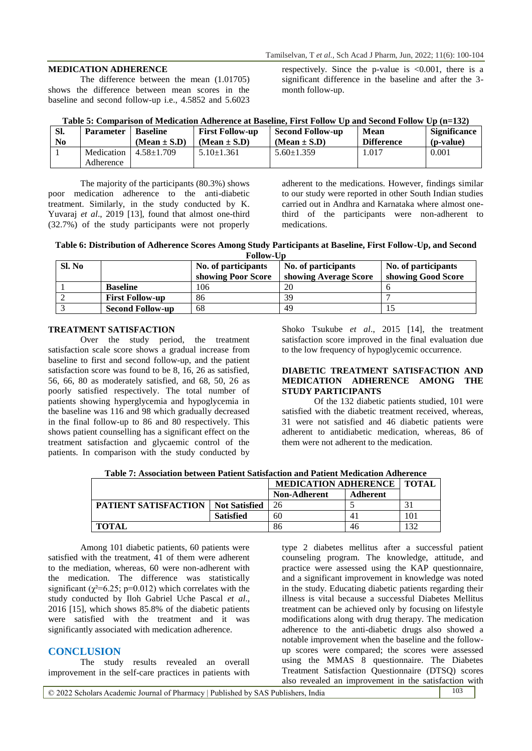### **MEDICATION ADHERENCE**

The difference between the mean (1.01705) shows the difference between mean scores in the baseline and second follow-up i.e., 4.5852 and 5.6023

respectively. Since the p-value is  $\langle 0.001,$  there is a significant difference in the baseline and after the 3 month follow-up.

|     |                             |                        | Table 5: Comparison of Medication Adherence at Baseline, First Follow Up and Second Follow Up (n=132) |      |                     |
|-----|-----------------------------|------------------------|-------------------------------------------------------------------------------------------------------|------|---------------------|
| SI. | <b>Parameter</b>   Baseline | <b>First Follow-up</b> | Second Follow-up                                                                                      | Mean | <b>Significance</b> |

| -SI.           | Parameter  | Baseline         | First Follow-up  | Second Follow-up | Mean              | Significance |
|----------------|------------|------------------|------------------|------------------|-------------------|--------------|
| N <sub>0</sub> |            | $(Mean \pm S.D)$ | $(Mean \pm S.D)$ | $(Mean \pm S.D)$ | <b>Difference</b> | (p-value)    |
|                | Medication | $4.58 \pm 1.709$ | $5.10 \pm 1.361$ | $5.60 \pm 1.359$ | 1.017             | $0.001\,$    |
|                | Adherence  |                  |                  |                  |                   |              |

The majority of the participants (80.3%) shows poor medication adherence to the anti-diabetic treatment. Similarly, in the study conducted by K. Yuvaraj *et al*., 2019 [13], found that almost one-third (32.7%) of the study participants were not properly

adherent to the medications. However, findings similar to our study were reported in other South Indian studies carried out in Andhra and Karnataka where almost onethird of the participants were non-adherent to medications.

**Table 6: Distribution of Adherence Scores Among Study Participants at Baseline, First Follow-Up, and Second Follow-Up**

| Sl. No |                         | No. of participants<br>showing Poor Score | No. of participants<br>showing Average Score | No. of participants<br>showing Good Score |
|--------|-------------------------|-------------------------------------------|----------------------------------------------|-------------------------------------------|
|        | <b>Baseline</b>         | 106                                       | 20                                           |                                           |
|        | <b>First Follow-up</b>  | 86                                        | 39                                           |                                           |
|        | <b>Second Follow-up</b> | 68                                        | 49                                           |                                           |

## **TREATMENT SATISFACTION**

Over the study period, the treatment satisfaction scale score shows a gradual increase from baseline to first and second follow-up, and the patient satisfaction score was found to be 8, 16, 26 as satisfied, 56, 66, 80 as moderately satisfied, and 68, 50, 26 as poorly satisfied respectively. The total number of patients showing hyperglycemia and hypoglycemia in the baseline was 116 and 98 which gradually decreased in the final follow-up to 86 and 80 respectively. This shows patient counselling has a significant effect on the treatment satisfaction and glycaemic control of the patients. In comparison with the study conducted by Shoko Tsukube *et al*., 2015 [14], the treatment satisfaction score improved in the final evaluation due to the low frequency of hypoglycemic occurrence.

### **DIABETIC TREATMENT SATISFACTION AND MEDICATION ADHERENCE AMONG THE STUDY PARTICIPANTS**

Of the 132 diabetic patients studied, 101 were satisfied with the diabetic treatment received, whereas, 31 were not satisfied and 46 diabetic patients were adherent to antidiabetic medication, whereas, 86 of them were not adherent to the medication.

| Table 7: Association between Patient Satisfaction and Patient Medication Adherence |  |
|------------------------------------------------------------------------------------|--|
|------------------------------------------------------------------------------------|--|

|                             |                      | <b>MEDICATION ADHERENCE</b> |          | <b>TOTAL</b>   |
|-----------------------------|----------------------|-----------------------------|----------|----------------|
|                             |                      | <b>Non-Adherent</b>         | Adherent |                |
| <b>PATIENT SATISFACTION</b> | <b>Not Satisfied</b> | 26                          |          |                |
|                             | <b>Satisfied</b>     | 60                          |          | 101            |
| <b>TOTAL</b>                |                      | 86                          | 46       | $\mathfrak{D}$ |

Among 101 diabetic patients, 60 patients were satisfied with the treatment, 41 of them were adherent to the mediation, whereas, 60 were non-adherent with the medication. The difference was statistically significant ( $\gamma^2$ =6.25; p=0.012) which correlates with the study conducted by Iloh Gabriel Uche Pascal *et al*., 2016 [15], which shows 85.8% of the diabetic patients were satisfied with the treatment and it was significantly associated with medication adherence.

# **CONCLUSION**

The study results revealed an overall improvement in the self-care practices in patients with type 2 diabetes mellitus after a successful patient counseling program. The knowledge, attitude, and practice were assessed using the KAP questionnaire, and a significant improvement in knowledge was noted in the study. Educating diabetic patients regarding their illness is vital because a successful Diabetes Mellitus treatment can be achieved only by focusing on lifestyle modifications along with drug therapy. The medication adherence to the anti-diabetic drugs also showed a notable improvement when the baseline and the followup scores were compared; the scores were assessed using the MMAS 8 questionnaire. The Diabetes Treatment Satisfaction Questionnaire (DTSQ) scores also revealed an improvement in the satisfaction with

© 2022 Scholars Academic Journal of Pharmacy | Published by SAS Publishers, India 103